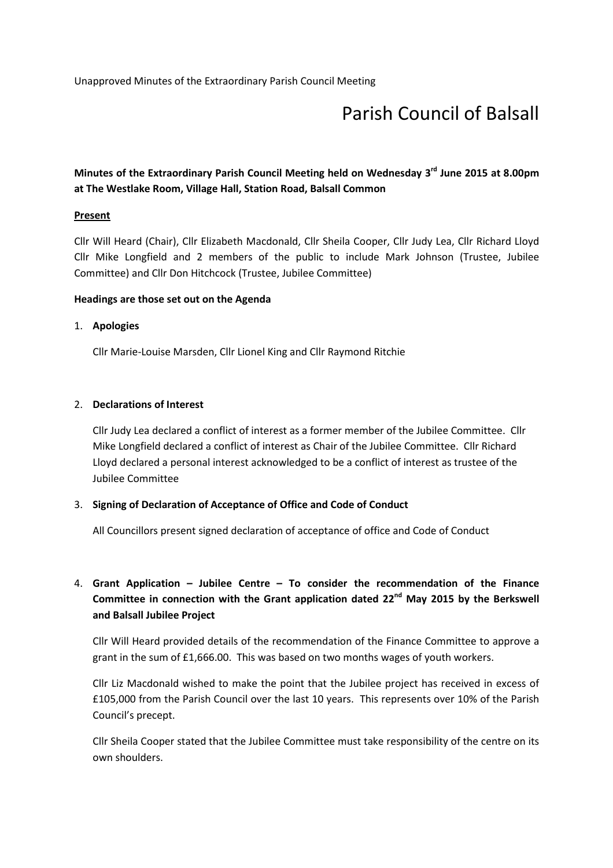## Parish Council of Balsall

## Minutes of the Extraordinary Parish Council Meeting held on Wednesday 3<sup>rd</sup> June 2015 at 8.00pm at The Westlake Room, Village Hall, Station Road, Balsall Common

#### **Present**

Cllr Will Heard (Chair), Cllr Elizabeth Macdonald, Cllr Sheila Cooper, Cllr Judy Lea, Cllr Richard Lloyd Cllr Mike Longfield and 2 members of the public to include Mark Johnson (Trustee, Jubilee Committee) and Cllr Don Hitchcock (Trustee, Jubilee Committee)

#### Headings are those set out on the Agenda

#### 1. Apologies

Cllr Marie-Louise Marsden, Cllr Lionel King and Cllr Raymond Ritchie

#### 2. Declarations of Interest

Cllr Judy Lea declared a conflict of interest as a former member of the Jubilee Committee. Cllr Mike Longfield declared a conflict of interest as Chair of the Jubilee Committee. Cllr Richard Lloyd declared a personal interest acknowledged to be a conflict of interest as trustee of the Jubilee Committee

#### 3. Signing of Declaration of Acceptance of Office and Code of Conduct

All Councillors present signed declaration of acceptance of office and Code of Conduct

## 4. Grant Application – Jubilee Centre – To consider the recommendation of the Finance Committee in connection with the Grant application dated  $22^{nd}$  May 2015 by the Berkswell and Balsall Jubilee Project

Cllr Will Heard provided details of the recommendation of the Finance Committee to approve a grant in the sum of £1,666.00. This was based on two months wages of youth workers.

Cllr Liz Macdonald wished to make the point that the Jubilee project has received in excess of £105,000 from the Parish Council over the last 10 years. This represents over 10% of the Parish Council's precept.

Cllr Sheila Cooper stated that the Jubilee Committee must take responsibility of the centre on its own shoulders.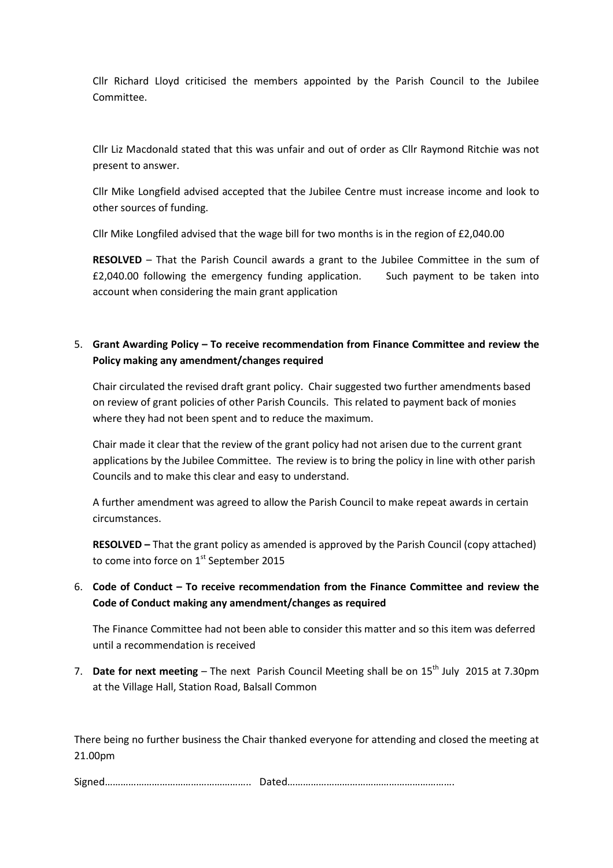Cllr Richard Lloyd criticised the members appointed by the Parish Council to the Jubilee Committee.

Cllr Liz Macdonald stated that this was unfair and out of order as Cllr Raymond Ritchie was not present to answer.

Cllr Mike Longfield advised accepted that the Jubilee Centre must increase income and look to other sources of funding.

Cllr Mike Longfiled advised that the wage bill for two months is in the region of £2,040.00

RESOLVED – That the Parish Council awards a grant to the Jubilee Committee in the sum of £2,040.00 following the emergency funding application. Such payment to be taken into account when considering the main grant application

#### 5. Grant Awarding Policy – To receive recommendation from Finance Committee and review the Policy making any amendment/changes required

Chair circulated the revised draft grant policy. Chair suggested two further amendments based on review of grant policies of other Parish Councils. This related to payment back of monies where they had not been spent and to reduce the maximum.

Chair made it clear that the review of the grant policy had not arisen due to the current grant applications by the Jubilee Committee. The review is to bring the policy in line with other parish Councils and to make this clear and easy to understand.

A further amendment was agreed to allow the Parish Council to make repeat awards in certain circumstances.

RESOLVED – That the grant policy as amended is approved by the Parish Council (copy attached) to come into force on 1st September 2015

## 6. Code of Conduct – To receive recommendation from the Finance Committee and review the Code of Conduct making any amendment/changes as required

The Finance Committee had not been able to consider this matter and so this item was deferred until a recommendation is received

7. Date for next meeting – The next Parish Council Meeting shall be on  $15<sup>th</sup>$  July 2015 at 7.30pm at the Village Hall, Station Road, Balsall Common

There being no further business the Chair thanked everyone for attending and closed the meeting at 21.00pm

Signed……………………………………………….. Dated……………………………………………………….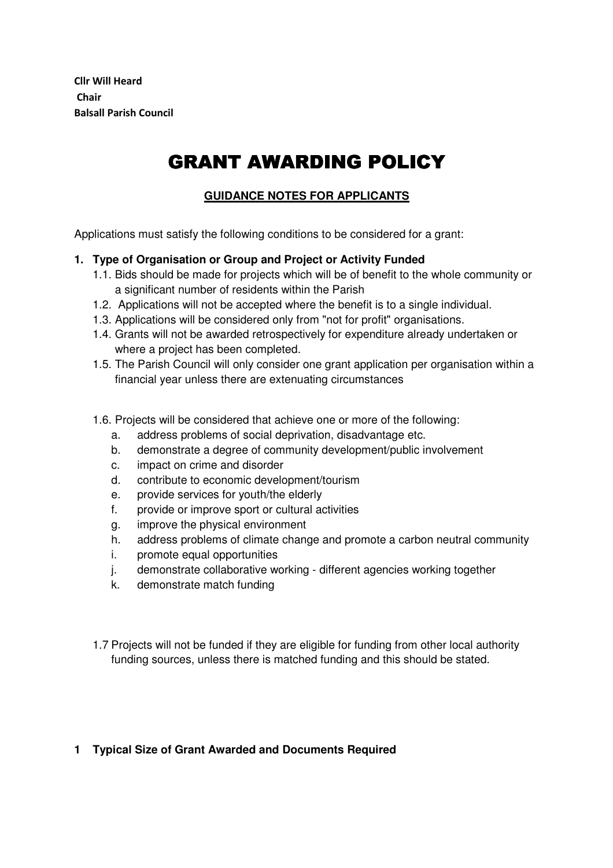Cllr Will Heard Chair Balsall Parish Council

# GRANT AWARDING POLICY

## **GUIDANCE NOTES FOR APPLICANTS**

Applications must satisfy the following conditions to be considered for a grant:

#### **1. Type of Organisation or Group and Project or Activity Funded**

- 1.1. Bids should be made for projects which will be of benefit to the whole community or a significant number of residents within the Parish
- 1.2. Applications will not be accepted where the benefit is to a single individual.
- 1.3. Applications will be considered only from "not for profit" organisations.
- 1.4. Grants will not be awarded retrospectively for expenditure already undertaken or where a project has been completed.
- 1.5. The Parish Council will only consider one grant application per organisation within a financial year unless there are extenuating circumstances
- 1.6. Projects will be considered that achieve one or more of the following:
	- a. address problems of social deprivation, disadvantage etc.
	- b. demonstrate a degree of community development/public involvement
	- c. impact on crime and disorder
	- d. contribute to economic development/tourism
	- e. provide services for youth/the elderly
	- f. provide or improve sport or cultural activities
	- g. improve the physical environment
	- h. address problems of climate change and promote a carbon neutral community
	- i. promote equal opportunities
	- j. demonstrate collaborative working different agencies working together
	- k. demonstrate match funding
- 1.7 Projects will not be funded if they are eligible for funding from other local authority funding sources, unless there is matched funding and this should be stated.

## **1 Typical Size of Grant Awarded and Documents Required**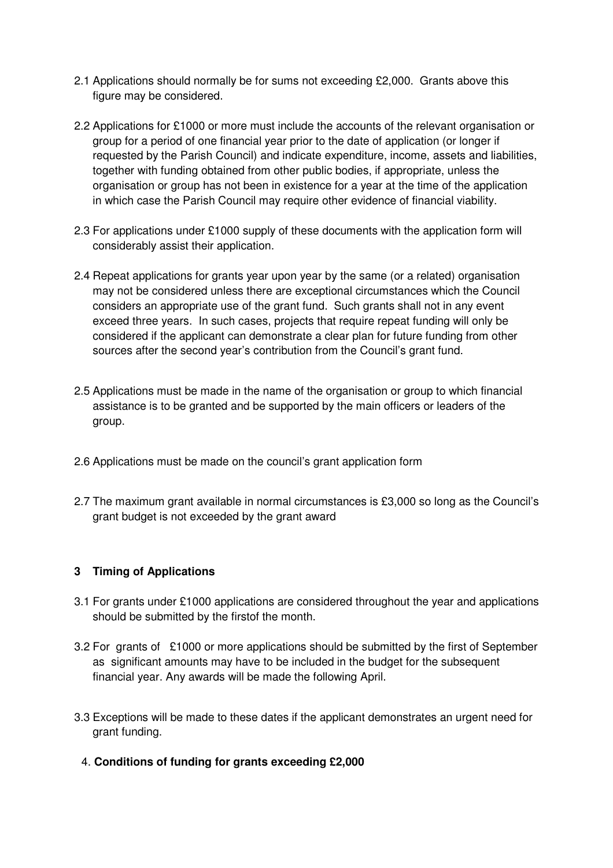- 2.1 Applications should normally be for sums not exceeding £2,000. Grants above this figure may be considered.
- 2.2 Applications for £1000 or more must include the accounts of the relevant organisation or group for a period of one financial year prior to the date of application (or longer if requested by the Parish Council) and indicate expenditure, income, assets and liabilities, together with funding obtained from other public bodies, if appropriate, unless the organisation or group has not been in existence for a year at the time of the application in which case the Parish Council may require other evidence of financial viability.
- 2.3 For applications under £1000 supply of these documents with the application form will considerably assist their application.
- 2.4 Repeat applications for grants year upon year by the same (or a related) organisation may not be considered unless there are exceptional circumstances which the Council considers an appropriate use of the grant fund. Such grants shall not in any event exceed three years. In such cases, projects that require repeat funding will only be considered if the applicant can demonstrate a clear plan for future funding from other sources after the second year's contribution from the Council's grant fund.
- 2.5 Applications must be made in the name of the organisation or group to which financial assistance is to be granted and be supported by the main officers or leaders of the group.
- 2.6 Applications must be made on the council's grant application form
- 2.7 The maximum grant available in normal circumstances is £3,000 so long as the Council's grant budget is not exceeded by the grant award

## **3 Timing of Applications**

- 3.1 For grants under £1000 applications are considered throughout the year and applications should be submitted by the firstof the month.
- 3.2 For grants of £1000 or more applications should be submitted by the first of September as significant amounts may have to be included in the budget for the subsequent financial year. Any awards will be made the following April.
- 3.3 Exceptions will be made to these dates if the applicant demonstrates an urgent need for grant funding.
	- 4. **Conditions of funding for grants exceeding £2,000**